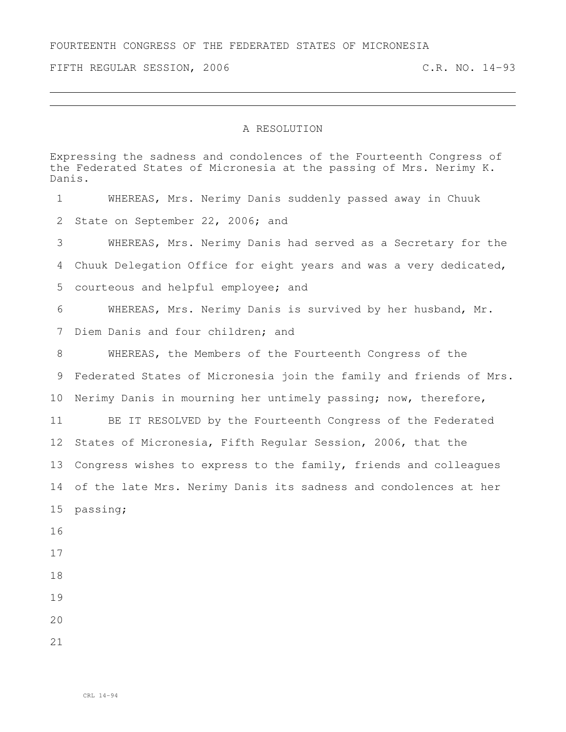FOURTEENTH CONGRESS OF THE FEDERATED STATES OF MICRONESIA

FIFTH REGULAR SESSION, 2006 C.R. NO. 14-93

## A RESOLUTION

Expressing the sadness and condolences of the Fourteenth Congress of the Federated States of Micronesia at the passing of Mrs. Nerimy K. Danis. WHEREAS, Mrs. Nerimy Danis suddenly passed away in Chuuk State on September 22, 2006; and WHEREAS, Mrs. Nerimy Danis had served as a Secretary for the Chuuk Delegation Office for eight years and was a very dedicated, courteous and helpful employee; and WHEREAS, Mrs. Nerimy Danis is survived by her husband, Mr. Diem Danis and four children; and WHEREAS, the Members of the Fourteenth Congress of the Federated States of Micronesia join the family and friends of Mrs. Nerimy Danis in mourning her untimely passing; now, therefore, BE IT RESOLVED by the Fourteenth Congress of the Federated States of Micronesia, Fifth Regular Session, 2006, that the Congress wishes to express to the family, friends and colleagues of the late Mrs. Nerimy Danis its sadness and condolences at her passing;